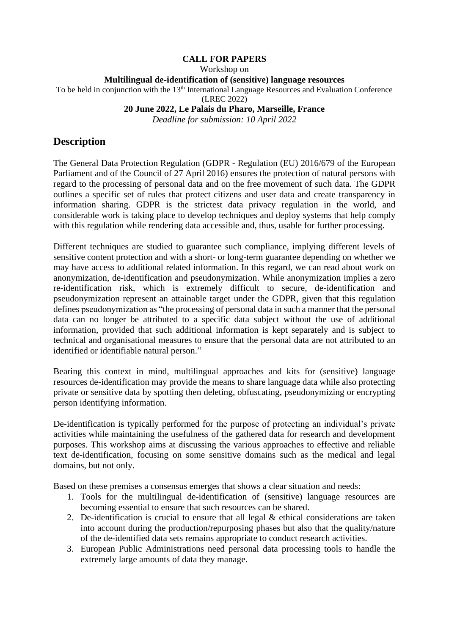#### **CALL FOR PAPERS**

Workshop on

**Multilingual de-identification of (sensitive) language resources**

To be held in conjunction with the 13<sup>th</sup> International Language Resources and Evaluation Conference

(LREC 2022)

#### **20 June 2022, Le Palais du Pharo, Marseille, France**

*Deadline for submission: 10 April 2022*

### **Description**

The General Data Protection Regulation (GDPR - Regulation (EU) 2016/679 of the European Parliament and of the Council of 27 April 2016) ensures the protection of natural persons with regard to the processing of personal data and on the free movement of such data. The GDPR outlines a specific set of rules that protect citizens and user data and create transparency in information sharing. GDPR is the strictest data privacy regulation in the world, and considerable work is taking place to develop techniques and deploy systems that help comply with this regulation while rendering data accessible and, thus, usable for further processing.

Different techniques are studied to guarantee such compliance, implying different levels of sensitive content protection and with a short- or long-term guarantee depending on whether we may have access to additional related information. In this regard, we can read about work on anonymization, de-identification and pseudonymization. While anonymization implies a zero re-identification risk, which is extremely difficult to secure, de-identification and pseudonymization represent an attainable target under the GDPR, given that this regulation defines pseudonymization as "the processing of personal data in such a manner that the personal data can no longer be attributed to a specific data subject without the use of additional information, provided that such additional information is kept separately and is subject to technical and organisational measures to ensure that the personal data are not attributed to an identified or identifiable natural person."

Bearing this context in mind, multilingual approaches and kits for (sensitive) language resources de-identification may provide the means to share language data while also protecting private or sensitive data by spotting then deleting, obfuscating, pseudonymizing or encrypting person identifying information.

De-identification is typically performed for the purpose of protecting an individual's private activities while maintaining the usefulness of the gathered data for research and development purposes. This workshop aims at discussing the various approaches to effective and reliable text de-identification, focusing on some sensitive domains such as the medical and legal domains, but not only.

Based on these premises a consensus emerges that shows a clear situation and needs:

- 1. Tools for the multilingual de-identification of (sensitive) language resources are becoming essential to ensure that such resources can be shared.
- 2. De-identification is crucial to ensure that all legal & ethical considerations are taken into account during the production/repurposing phases but also that the quality/nature of the de-identified data sets remains appropriate to conduct research activities.
- 3. European Public Administrations need personal data processing tools to handle the extremely large amounts of data they manage.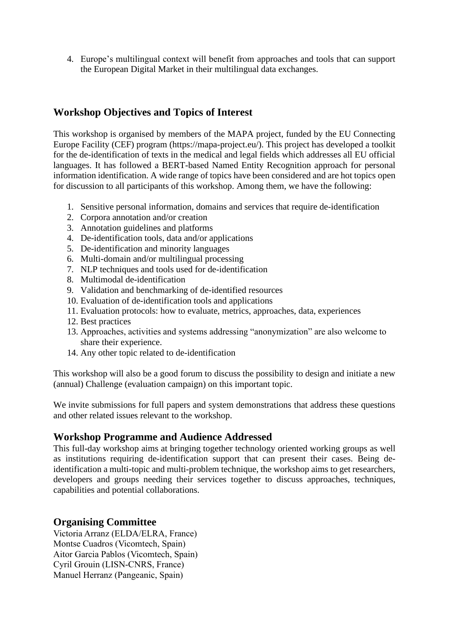4. Europe's multilingual context will benefit from approaches and tools that can support the European Digital Market in their multilingual data exchanges.

# **Workshop Objectives and Topics of Interest**

This workshop is organised by members of the MAPA project, funded by the EU Connecting Europe Facility (CEF) program (https://mapa-project.eu/). This project has developed a toolkit for the de-identification of texts in the medical and legal fields which addresses all EU official languages. It has followed a BERT-based Named Entity Recognition approach for personal information identification. A wide range of topics have been considered and are hot topics open for discussion to all participants of this workshop. Among them, we have the following:

- 1. Sensitive personal information, domains and services that require de-identification
- 2. Corpora annotation and/or creation
- 3. Annotation guidelines and platforms
- 4. De-identification tools, data and/or applications
- 5. De-identification and minority languages
- 6. Multi-domain and/or multilingual processing
- 7. NLP techniques and tools used for de-identification
- 8. Multimodal de-identification
- 9. Validation and benchmarking of de-identified resources
- 10. Evaluation of de-identification tools and applications
- 11. Evaluation protocols: how to evaluate, metrics, approaches, data, experiences
- 12. Best practices
- 13. Approaches, activities and systems addressing "anonymization" are also welcome to share their experience.
- 14. Any other topic related to de-identification

This workshop will also be a good forum to discuss the possibility to design and initiate a new (annual) Challenge (evaluation campaign) on this important topic.

We invite submissions for full papers and system demonstrations that address these questions and other related issues relevant to the workshop.

## **Workshop Programme and Audience Addressed**

This full-day workshop aims at bringing together technology oriented working groups as well as institutions requiring de-identification support that can present their cases. Being deidentification a multi-topic and multi-problem technique, the workshop aims to get researchers, developers and groups needing their services together to discuss approaches, techniques, capabilities and potential collaborations.

## **Organising Committee**

Victoria Arranz (ELDA/ELRA, France) Montse Cuadros (Vicomtech, Spain) Aitor Garcia Pablos (Vicomtech, Spain) Cyril Grouin (LISN-CNRS, France) Manuel Herranz (Pangeanic, Spain)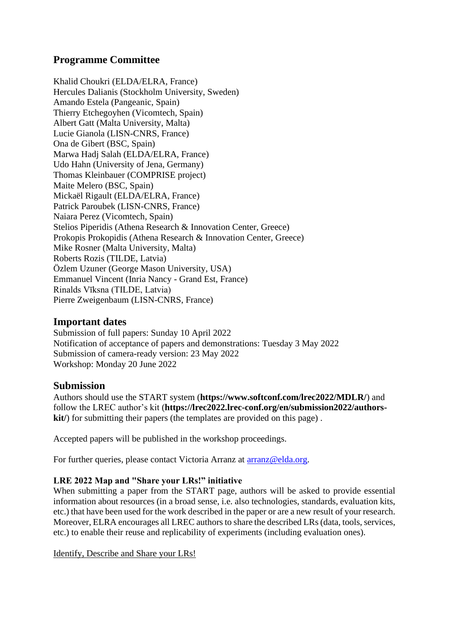# **Programme Committee**

Khalid Choukri (ELDA/ELRA, France) Hercules Dalianis (Stockholm University, Sweden) Amando Estela (Pangeanic, Spain) Thierry Etchegoyhen (Vicomtech, Spain) Albert Gatt (Malta University, Malta) Lucie Gianola (LISN-CNRS, France) Ona de Gibert (BSC, Spain) Marwa Hadj Salah (ELDA/ELRA, France) Udo Hahn (University of Jena, Germany) Thomas Kleinbauer (COMPRISE project) Maite Melero (BSC, Spain) Mickaël Rigault (ELDA/ELRA, France) Patrick Paroubek (LISN-CNRS, France) Naiara Perez (Vicomtech, Spain) Stelios Piperidis (Athena Research & Innovation Center, Greece) Prokopis Prokopidis (Athena Research & Innovation Center, Greece) Mike Rosner (Malta University, Malta) Roberts Rozis (TILDE, Latvia) Özlem Uzuner (George Mason University, USA) Emmanuel Vincent (Inria Nancy - Grand Est, France) Rinalds Vīksna (TILDE, Latvia) Pierre Zweigenbaum (LISN-CNRS, France)

### **Important dates**

Submission of full papers: Sunday 10 April 2022 Notification of acceptance of papers and demonstrations: Tuesday 3 May 2022 Submission of camera-ready version: 23 May 2022 Workshop: Monday 20 June 2022

#### **Submission**

Authors should use the START system (**<https://www.softconf.com/lrec2022/MDLR/>**) and follow the LREC author's kit (**[https://lrec2022.lrec-conf.org/en/submission2022/authors](https://lrec2022.lrec-conf.org/en/submission2022/authors-kit/)[kit/](https://lrec2022.lrec-conf.org/en/submission2022/authors-kit/)**) for submitting their papers (the templates are provided on this page).

Accepted papers will be published in the workshop proceedings.

For further queries, please contact Victoria Arranz at [arranz@elda.org.](mailto:arranz@elda.org)

#### **LRE 2022 Map and "Share your LRs!" initiative**

When submitting a paper from the START page, authors will be asked to provide essential information about resources (in a broad sense, i.e. also technologies, standards, evaluation kits, etc.) that have been used for the work described in the paper or are a new result of your research. Moreover, ELRA encourages all LREC authors to share the described LRs (data, tools, services, etc.) to enable their reuse and replicability of experiments (including evaluation ones).

Identify, Describe and Share your LRs!